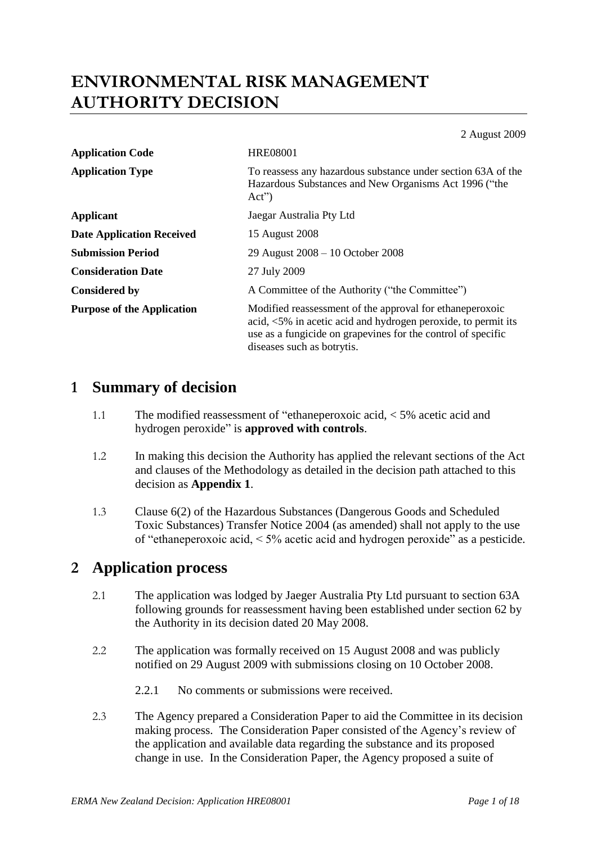# **ENVIRONMENTAL RISK MANAGEMENT AUTHORITY DECISION**

2 August 2009

| <b>Application Code</b>           | <b>HRE08001</b>                                                                                                                                                                                                          |
|-----------------------------------|--------------------------------------------------------------------------------------------------------------------------------------------------------------------------------------------------------------------------|
| <b>Application Type</b>           | To reassess any hazardous substance under section 63A of the<br>Hazardous Substances and New Organisms Act 1996 ("the<br>$Act^{\prime\prime}$                                                                            |
| <b>Applicant</b>                  | Jaegar Australia Pty Ltd                                                                                                                                                                                                 |
| <b>Date Application Received</b>  | 15 August 2008                                                                                                                                                                                                           |
| <b>Submission Period</b>          | 29 August 2008 – 10 October 2008                                                                                                                                                                                         |
| <b>Consideration Date</b>         | 27 July 2009                                                                                                                                                                                                             |
| <b>Considered by</b>              | A Committee of the Authority ("the Committee")                                                                                                                                                                           |
| <b>Purpose of the Application</b> | Modified reassessment of the approval for ethane peroxoic<br>acid, <5% in acetic acid and hydrogen peroxide, to permit its<br>use as a fungicide on grapevines for the control of specific<br>diseases such as botrytis. |

# **1 Summary of decision**

- 1.1 The modified reassessment of "ethaneperoxoic acid, < 5% acetic acid and hydrogen peroxide" is **approved with controls**.
- 1.2 In making this decision the Authority has applied the relevant sections of the Act and clauses of the Methodology as detailed in the decision path attached to this decision as **Appendix 1**.
- 1.3 Clause 6(2) of the Hazardous Substances (Dangerous Goods and Scheduled Toxic Substances) Transfer Notice 2004 (as amended) shall not apply to the use of "ethaneperoxoic acid, < 5% acetic acid and hydrogen peroxide" as a pesticide.

# **2 Application process**

- 2.1 The application was lodged by Jaeger Australia Pty Ltd pursuant to section 63A following grounds for reassessment having been established under section 62 by the Authority in its decision dated 20 May 2008.
- 2.2 The application was formally received on 15 August 2008 and was publicly notified on 29 August 2009 with submissions closing on 10 October 2008.
	- 2.2.1 No comments or submissions were received.
- 2.3 The Agency prepared a Consideration Paper to aid the Committee in its decision making process. The Consideration Paper consisted of the Agency's review of the application and available data regarding the substance and its proposed change in use. In the Consideration Paper, the Agency proposed a suite of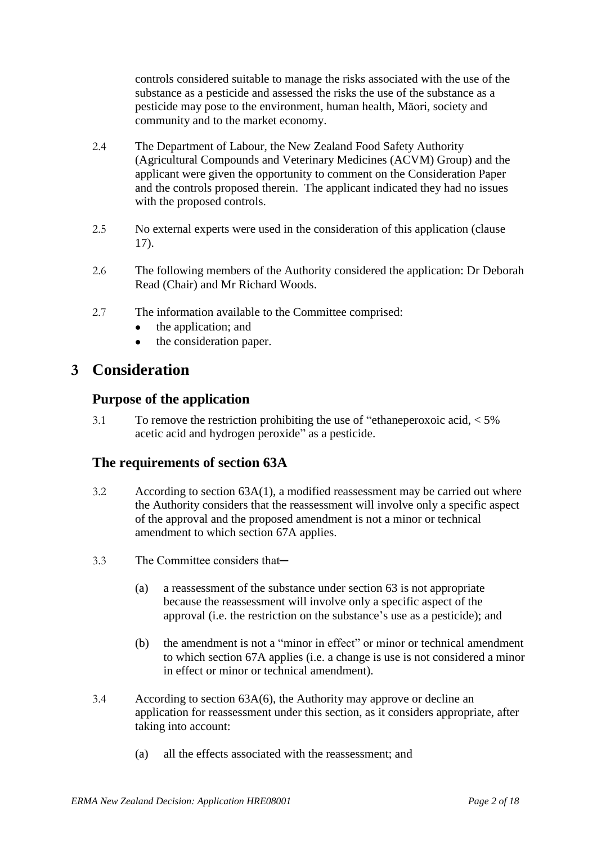controls considered suitable to manage the risks associated with the use of the substance as a pesticide and assessed the risks the use of the substance as a pesticide may pose to the environment, human health, Māori, society and community and to the market economy.

- 2.4 The Department of Labour, the New Zealand Food Safety Authority (Agricultural Compounds and Veterinary Medicines (ACVM) Group) and the applicant were given the opportunity to comment on the Consideration Paper and the controls proposed therein. The applicant indicated they had no issues with the proposed controls.
- 2.5 No external experts were used in the consideration of this application (clause 17).
- 2.6 The following members of the Authority considered the application: Dr Deborah Read (Chair) and Mr Richard Woods.
- 2.7 The information available to the Committee comprised:
	- the application; and
	- the consideration paper.  $\bullet$

# **3 Consideration**

## **Purpose of the application**

3.1 To remove the restriction prohibiting the use of "ethaneperoxoic acid, < 5% acetic acid and hydrogen peroxide" as a pesticide.

## **The requirements of section 63A**

- $3.2$  According to section  $63A(1)$ , a modified reassessment may be carried out where the Authority considers that the reassessment will involve only a specific aspect of the approval and the proposed amendment is not a minor or technical amendment to which section 67A applies.
- 3.3 The Committee considers that—
	- (a) a reassessment of the substance under section 63 is not appropriate because the reassessment will involve only a specific aspect of the approval (i.e. the restriction on the substance's use as a pesticide); and
	- (b) the amendment is not a "minor in effect" or minor or technical amendment to which section 67A applies (i.e. a change is use is not considered a minor in effect or minor or technical amendment).
- 3.4 According to section 63A(6), the Authority may approve or decline an application for reassessment under this section, as it considers appropriate, after taking into account:
	- (a) all the effects associated with the reassessment; and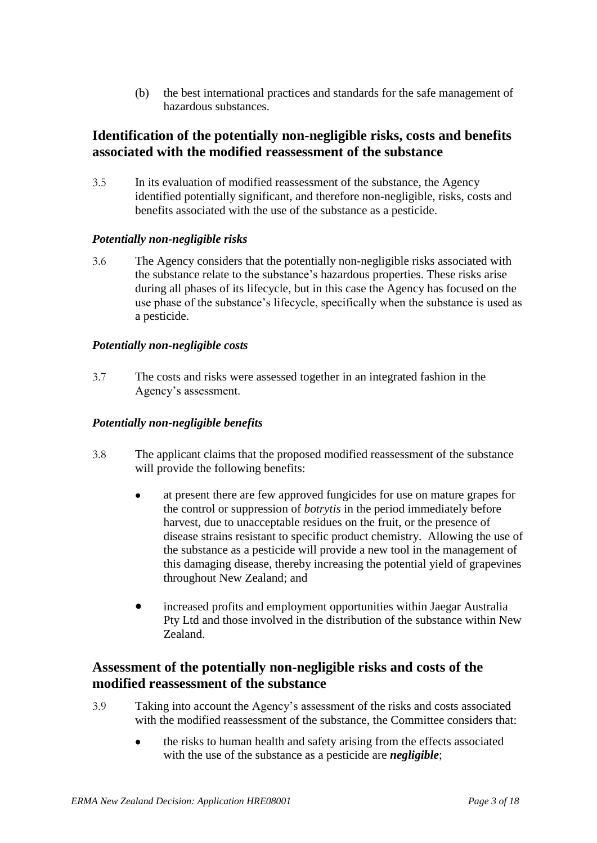(b) the best international practices and standards for the safe management of hazardous substances.

### **Identification of the potentially non-negligible risks, costs and benefits associated with the modified reassessment of the substance**

3.5 In its evaluation of modified reassessment of the substance, the Agency identified potentially significant, and therefore non-negligible, risks, costs and benefits associated with the use of the substance as a pesticide.

#### *Potentially non-negligible risks*

3.6 The Agency considers that the potentially non-negligible risks associated with the substance relate to the substance's hazardous properties. These risks arise during all phases of its lifecycle, but in this case the Agency has focused on the use phase of the substance's lifecycle, specifically when the substance is used as a pesticide.

#### *Potentially non-negligible costs*

3.7 The costs and risks were assessed together in an integrated fashion in the Agency's assessment.

#### *Potentially non-negligible benefits*

- 3.8 The applicant claims that the proposed modified reassessment of the substance will provide the following benefits:
	- at present there are few approved fungicides for use on mature grapes for the control or suppression of *botrytis* in the period immediately before harvest, due to unacceptable residues on the fruit, or the presence of disease strains resistant to specific product chemistry. Allowing the use of the substance as a pesticide will provide a new tool in the management of this damaging disease, thereby increasing the potential yield of grapevines throughout New Zealand; and
	- $\bullet$ increased profits and employment opportunities within Jaegar Australia Pty Ltd and those involved in the distribution of the substance within New Zealand.

## **Assessment of the potentially non-negligible risks and costs of the modified reassessment of the substance**

- 3.9 Taking into account the Agency's assessment of the risks and costs associated with the modified reassessment of the substance, the Committee considers that:
	- $\bullet$ the risks to human health and safety arising from the effects associated with the use of the substance as a pesticide are *negligible*;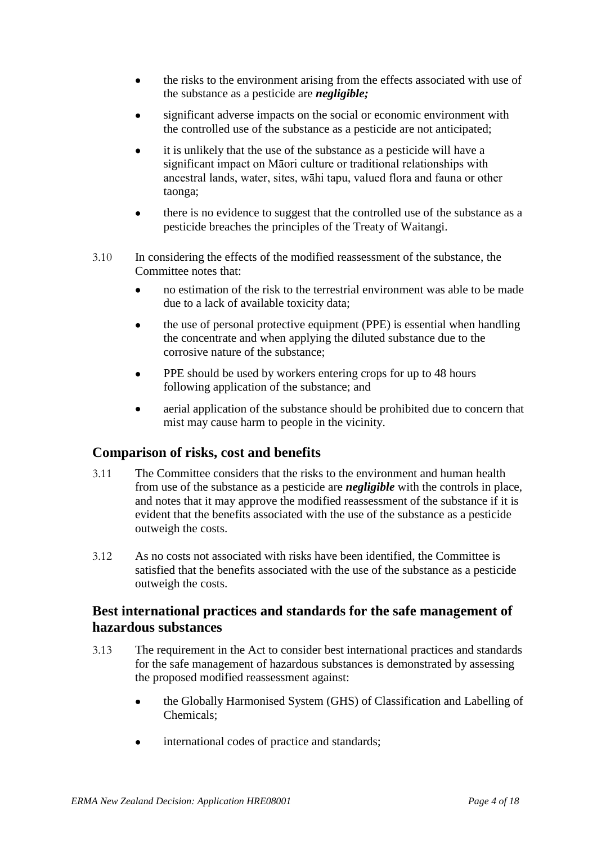- the risks to the environment arising from the effects associated with use of  $\bullet$ the substance as a pesticide are *negligible;*
- significant adverse impacts on the social or economic environment with the controlled use of the substance as a pesticide are not anticipated;
- it is unlikely that the use of the substance as a pesticide will have a significant impact on Māori culture or traditional relationships with ancestral lands, water, sites, wāhi tapu, valued flora and fauna or other taonga;
- $\bullet$ there is no evidence to suggest that the controlled use of the substance as a pesticide breaches the principles of the Treaty of Waitangi.
- 3.10 In considering the effects of the modified reassessment of the substance, the Committee notes that:
	- $\bullet$ no estimation of the risk to the terrestrial environment was able to be made due to a lack of available toxicity data;
	- the use of personal protective equipment (PPE) is essential when handling  $\bullet$ the concentrate and when applying the diluted substance due to the corrosive nature of the substance;
	- PPE should be used by workers entering crops for up to 48 hours following application of the substance; and
	- aerial application of the substance should be prohibited due to concern that  $\bullet$ mist may cause harm to people in the vicinity.

### **Comparison of risks, cost and benefits**

- 3.11 The Committee considers that the risks to the environment and human health from use of the substance as a pesticide are *negligible* with the controls in place, and notes that it may approve the modified reassessment of the substance if it is evident that the benefits associated with the use of the substance as a pesticide outweigh the costs.
- 3.12 As no costs not associated with risks have been identified, the Committee is satisfied that the benefits associated with the use of the substance as a pesticide outweigh the costs.

### **Best international practices and standards for the safe management of hazardous substances**

- 3.13 The requirement in the Act to consider best international practices and standards for the safe management of hazardous substances is demonstrated by assessing the proposed modified reassessment against:
	- the Globally Harmonised System (GHS) of Classification and Labelling of  $\bullet$ Chemicals;
	- international codes of practice and standards; $\bullet$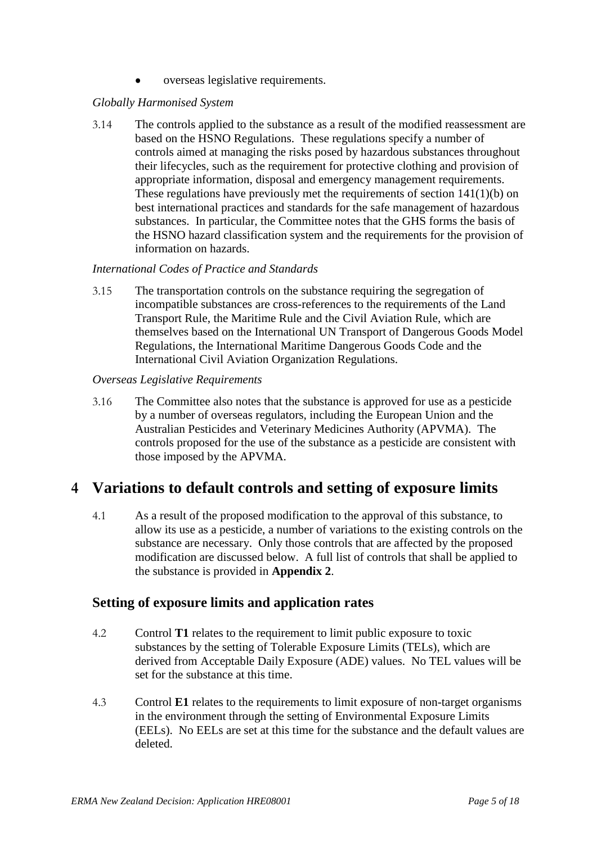overseas legislative requirements.

#### *Globally Harmonised System*

3.14 The controls applied to the substance as a result of the modified reassessment are based on the HSNO Regulations. These regulations specify a number of controls aimed at managing the risks posed by hazardous substances throughout their lifecycles, such as the requirement for protective clothing and provision of appropriate information, disposal and emergency management requirements. These regulations have previously met the requirements of section 141(1)(b) on best international practices and standards for the safe management of hazardous substances. In particular, the Committee notes that the GHS forms the basis of the HSNO hazard classification system and the requirements for the provision of information on hazards.

#### *International Codes of Practice and Standards*

3.15 The transportation controls on the substance requiring the segregation of incompatible substances are cross-references to the requirements of the Land Transport Rule, the Maritime Rule and the Civil Aviation Rule, which are themselves based on the International UN Transport of Dangerous Goods Model Regulations, the International Maritime Dangerous Goods Code and the International Civil Aviation Organization Regulations.

#### *Overseas Legislative Requirements*

3.16 The Committee also notes that the substance is approved for use as a pesticide by a number of overseas regulators, including the European Union and the Australian Pesticides and Veterinary Medicines Authority (APVMA). The controls proposed for the use of the substance as a pesticide are consistent with those imposed by the APVMA.

# **4 Variations to default controls and setting of exposure limits**

4.1 As a result of the proposed modification to the approval of this substance, to allow its use as a pesticide, a number of variations to the existing controls on the substance are necessary. Only those controls that are affected by the proposed modification are discussed below. A full list of controls that shall be applied to the substance is provided in **Appendix 2**.

### **Setting of exposure limits and application rates**

- 4.2 Control **T1** relates to the requirement to limit public exposure to toxic substances by the setting of Tolerable Exposure Limits (TELs), which are derived from Acceptable Daily Exposure (ADE) values. No TEL values will be set for the substance at this time.
- 4.3 Control **E1** relates to the requirements to limit exposure of non-target organisms in the environment through the setting of Environmental Exposure Limits (EELs). No EELs are set at this time for the substance and the default values are deleted.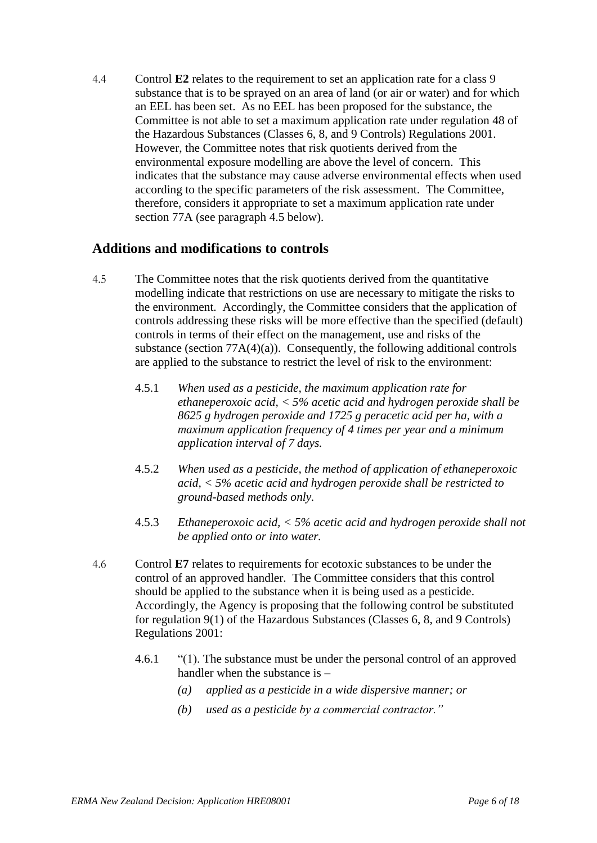4.4 Control **E2** relates to the requirement to set an application rate for a class 9 substance that is to be sprayed on an area of land (or air or water) and for which an EEL has been set. As no EEL has been proposed for the substance, the Committee is not able to set a maximum application rate under regulation 48 of the Hazardous Substances (Classes 6, 8, and 9 Controls) Regulations 2001. However, the Committee notes that risk quotients derived from the environmental exposure modelling are above the level of concern. This indicates that the substance may cause adverse environmental effects when used according to the specific parameters of the risk assessment. The Committee, therefore, considers it appropriate to set a maximum application rate under section 77A (see paragraph 4.5 below).

#### **Additions and modifications to controls**

- 4.5 The Committee notes that the risk quotients derived from the quantitative modelling indicate that restrictions on use are necessary to mitigate the risks to the environment. Accordingly, the Committee considers that the application of controls addressing these risks will be more effective than the specified (default) controls in terms of their effect on the management, use and risks of the substance (section  $77A(4)(a)$ ). Consequently, the following additional controls are applied to the substance to restrict the level of risk to the environment:
	- 4.5.1 *When used as a pesticide, the maximum application rate for ethaneperoxoic acid, < 5% acetic acid and hydrogen peroxide shall be 8625 g hydrogen peroxide and 1725 g peracetic acid per ha, with a maximum application frequency of 4 times per year and a minimum application interval of 7 days.*
	- 4.5.2 *When used as a pesticide, the method of application of ethaneperoxoic acid, < 5% acetic acid and hydrogen peroxide shall be restricted to ground-based methods only.*
	- 4.5.3 *Ethaneperoxoic acid, < 5% acetic acid and hydrogen peroxide shall not be applied onto or into water.*
- 4.6 Control **E7** relates to requirements for ecotoxic substances to be under the control of an approved handler. The Committee considers that this control should be applied to the substance when it is being used as a pesticide. Accordingly, the Agency is proposing that the following control be substituted for regulation 9(1) of the Hazardous Substances (Classes 6, 8, and 9 Controls) Regulations 2001:
	- 4.6.1 "(1). The substance must be under the personal control of an approved handler when the substance is -
		- *(a) applied as a pesticide in a wide dispersive manner; or*
		- *(b) used as a pesticide by a commercial contractor."*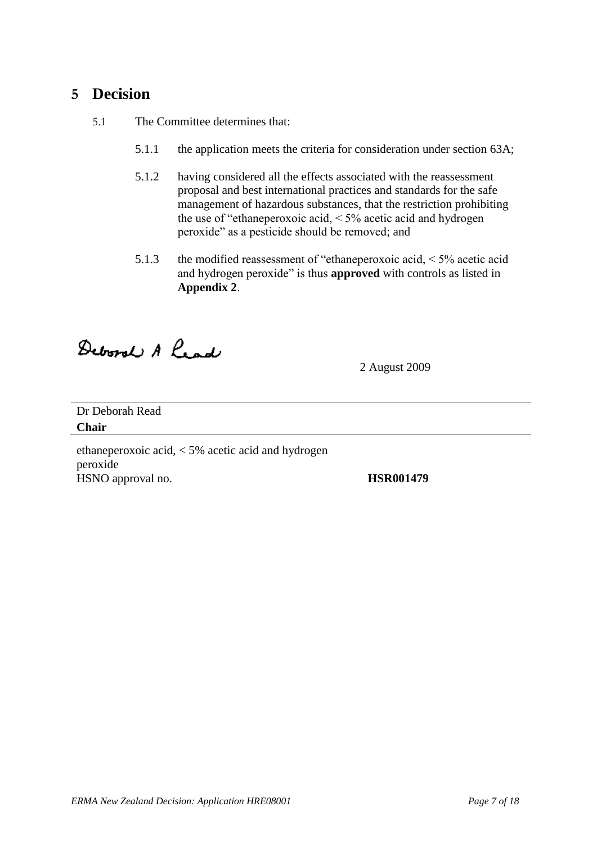# **5 Decision**

5.1 The Committee determines that:

- 5.1.1 the application meets the criteria for consideration under section 63A;
- 5.1.2 having considered all the effects associated with the reassessment proposal and best international practices and standards for the safe management of hazardous substances, that the restriction prohibiting the use of "ethaneperoxoic acid, < 5% acetic acid and hydrogen peroxide" as a pesticide should be removed; and
- 5.1.3 the modified reassessment of "ethaneperoxoic acid, < 5% acetic acid and hydrogen peroxide" is thus **approved** with controls as listed in **Appendix 2**.

Deboral A head

2 August 2009

Dr Deborah Read **Chair** 

ethaneperoxoic acid, < 5% acetic acid and hydrogen peroxide HSNO approval no. **HSR001479**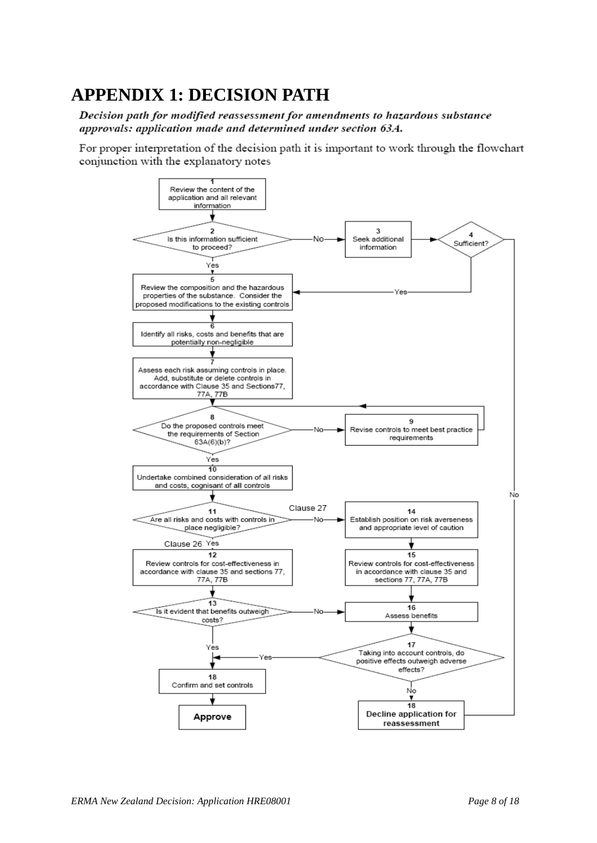# **APPENDIX 1: DECISION PATH**

Decision path for modified reassessment for amendments to hazardous substance approvals: application made and determined under section 63A.

For proper interpretation of the decision path it is important to work through the flowchart conjunction with the explanatory notes

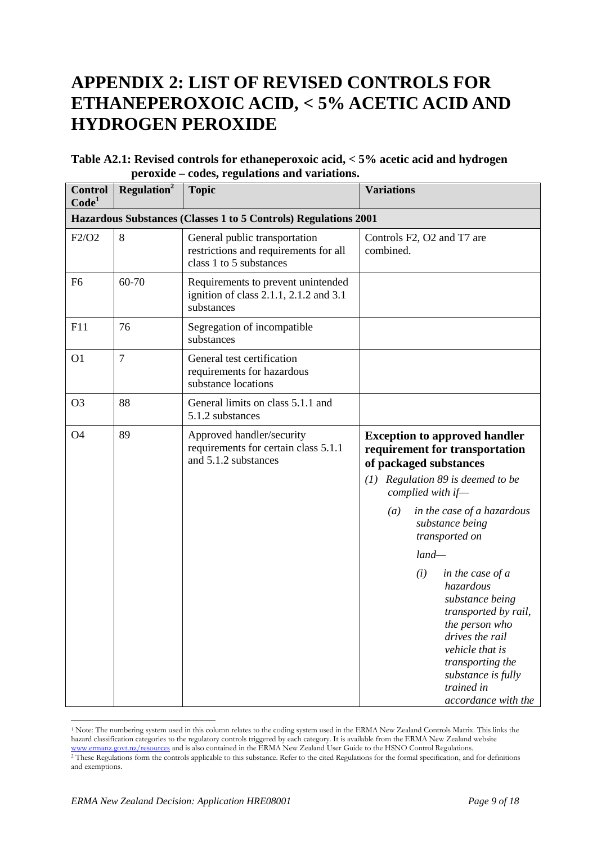# **APPENDIX 2: LIST OF REVISED CONTROLS FOR ETHANEPEROXOIC ACID, < 5% ACETIC ACID AND HYDROGEN PEROXIDE**

| Table A2.1: Revised controls for ethaneperoxoic acid, < 5% acetic acid and hydrogen |
|-------------------------------------------------------------------------------------|
| peroxide – codes, regulations and variations.                                       |

| <b>Control</b><br>Code <sup>1</sup> | Regulation <sup>2</sup> | <b>Topic</b>                                                                                      | <b>Variations</b>                                                                                                                                                                                                      |
|-------------------------------------|-------------------------|---------------------------------------------------------------------------------------------------|------------------------------------------------------------------------------------------------------------------------------------------------------------------------------------------------------------------------|
|                                     |                         | Hazardous Substances (Classes 1 to 5 Controls) Regulations 2001                                   |                                                                                                                                                                                                                        |
| F2/O2                               | 8                       | General public transportation<br>restrictions and requirements for all<br>class 1 to 5 substances | Controls F2, O2 and T7 are<br>combined.                                                                                                                                                                                |
| F <sub>6</sub>                      | 60-70                   | Requirements to prevent unintended<br>ignition of class 2.1.1, 2.1.2 and 3.1<br>substances        |                                                                                                                                                                                                                        |
| F11                                 | 76                      | Segregation of incompatible<br>substances                                                         |                                                                                                                                                                                                                        |
| O <sub>1</sub>                      | $\overline{7}$          | General test certification<br>requirements for hazardous<br>substance locations                   |                                                                                                                                                                                                                        |
| O <sub>3</sub>                      | 88                      | General limits on class 5.1.1 and<br>5.1.2 substances                                             |                                                                                                                                                                                                                        |
| <b>O4</b>                           | 89                      | Approved handler/security<br>requirements for certain class 5.1.1<br>and 5.1.2 substances         | <b>Exception to approved handler</b><br>requirement for transportation<br>of packaged substances<br>$(1)$ Regulation 89 is deemed to be<br>complied with if-<br>in the case of a hazardous<br>(a)                      |
|                                     |                         |                                                                                                   | substance being<br>transported on                                                                                                                                                                                      |
|                                     |                         |                                                                                                   | $land-$                                                                                                                                                                                                                |
|                                     |                         |                                                                                                   | (i)<br>in the case of a<br>hazardous<br>substance being<br>transported by rail,<br>the person who<br>drives the rail<br>vehicle that is<br>transporting the<br>substance is fully<br>trained in<br>accordance with the |

<sup>1</sup> Note: The numbering system used in this column relates to the coding system used in the ERMA New Zealand Controls Matrix. This links the hazard classification categories to the regulatory controls triggered by each category. It is available from the ERMA New Zealand website [www.ermanz.govt.nz/resources](http://www.ermanz.govt.nz/resources) and is also contained in the ERMA New Zealand User Guide to the HSNO Control Regulations. <sup>2</sup> These Regulations form the controls applicable to this substance. Refer to the cited Regulations for the formal specification, and for definitions and exemptions.

 $\overline{a}$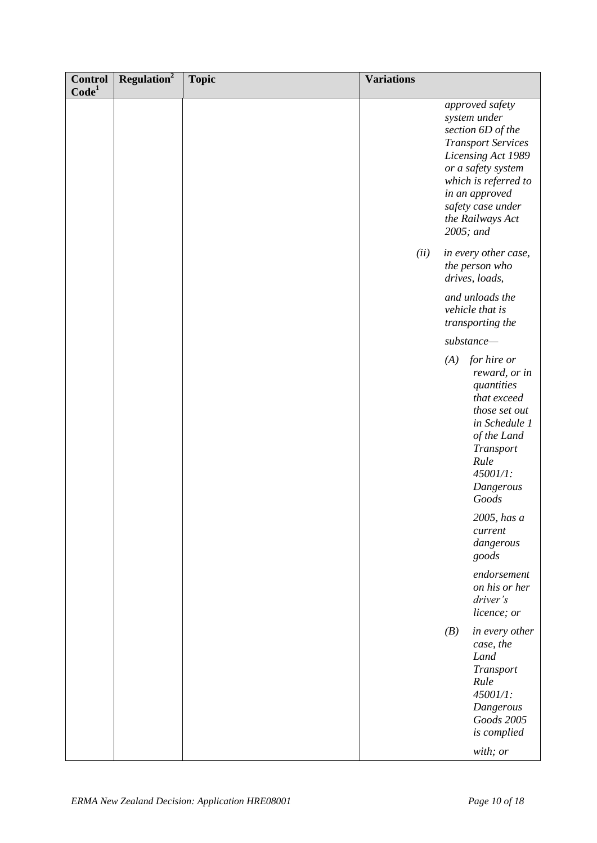| <b>Control</b><br>Code <sup>1</sup> | Regulation <sup>2</sup> | <b>Topic</b> | <b>Variations</b> |           |                                                                                                                                                                                                                  |
|-------------------------------------|-------------------------|--------------|-------------------|-----------|------------------------------------------------------------------------------------------------------------------------------------------------------------------------------------------------------------------|
|                                     |                         |              |                   | 2005; and | approved safety<br>system under<br>section 6D of the<br><b>Transport Services</b><br>Licensing Act 1989<br>or a safety system<br>which is referred to<br>in an approved<br>safety case under<br>the Railways Act |
|                                     |                         |              | (ii)              |           | in every other case,<br>the person who<br>drives, loads,                                                                                                                                                         |
|                                     |                         |              |                   |           | and unloads the<br>vehicle that is<br>transporting the                                                                                                                                                           |
|                                     |                         |              |                   |           | $substance$ —                                                                                                                                                                                                    |
|                                     |                         |              |                   |           | $(A)$ for hire or<br>reward, or in<br>quantities<br>that exceed<br>those set out<br>in Schedule 1<br>of the Land<br>Transport<br>Rule<br>45001/1:<br>Dangerous<br>Goods                                          |
|                                     |                         |              |                   |           | 2005, has a<br>current<br>dangerous<br>goods                                                                                                                                                                     |
|                                     |                         |              |                   |           | endorsement<br>on his or her<br>driver's<br>licence; or                                                                                                                                                          |
|                                     |                         |              |                   | (B)       | in every other<br>case, the<br>Land<br>Transport<br>Rule<br>45001/1:<br>Dangerous<br>Goods 2005<br>is complied<br>with; or                                                                                       |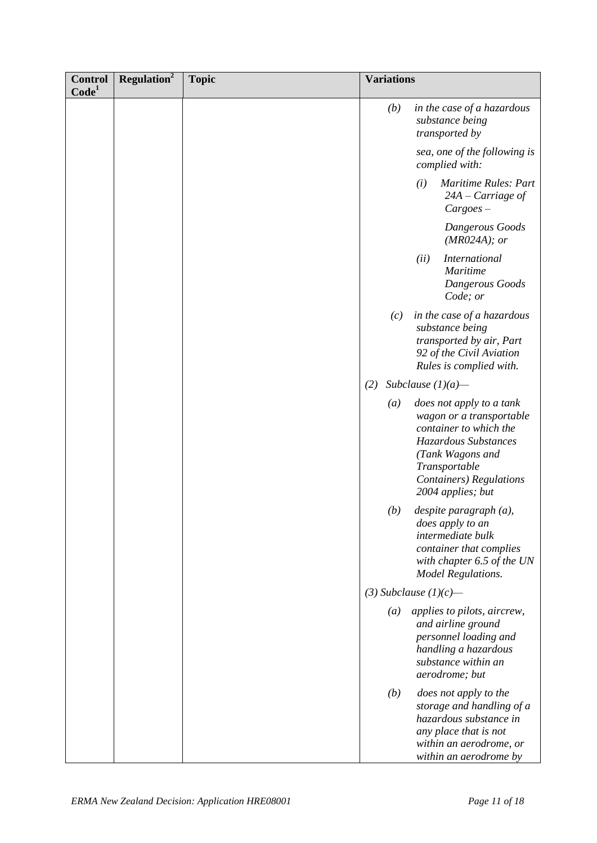| <b>Control</b><br>Code <sup>1</sup> | Regulation <sup>2</sup> | <b>Topic</b> | <b>Variations</b> |                                                                                                                                                                                                     |
|-------------------------------------|-------------------------|--------------|-------------------|-----------------------------------------------------------------------------------------------------------------------------------------------------------------------------------------------------|
|                                     |                         |              | (b)               | in the case of a hazardous<br>substance being<br>transported by                                                                                                                                     |
|                                     |                         |              |                   | sea, one of the following is<br>complied with:                                                                                                                                                      |
|                                     |                         |              |                   | <b>Maritime Rules: Part</b><br>(i)<br>$24A - Carriage$ of<br>$Cargoes -$                                                                                                                            |
|                                     |                         |              |                   | Dangerous Goods<br>$(MR024A);$ or                                                                                                                                                                   |
|                                     |                         |              |                   | <b>International</b><br>(ii)<br><b>Maritime</b><br>Dangerous Goods<br>Code; or                                                                                                                      |
|                                     |                         |              | (c)               | in the case of a hazardous<br>substance being<br>transported by air, Part<br>92 of the Civil Aviation<br>Rules is complied with.                                                                    |
|                                     |                         |              | (2)               | Subclause $(1)(a)$ —                                                                                                                                                                                |
|                                     |                         |              | $\left(a\right)$  | does not apply to a tank<br>wagon or a transportable<br>container to which the<br>Hazardous Substances<br>(Tank Wagons and<br>Transportable<br><b>Containers</b> ) Regulations<br>2004 applies; but |
|                                     |                         |              | (b)               | $despite$ paragraph $(a)$ ,<br>does apply to an<br>intermediate bulk<br>container that complies<br>with chapter 6.5 of the UN<br><b>Model Regulations.</b>                                          |
|                                     |                         |              |                   | $(3)$ Subclause $(1)(c)$ —                                                                                                                                                                          |
|                                     |                         |              | $\left(a\right)$  | applies to pilots, aircrew,<br>and airline ground<br>personnel loading and<br>handling a hazardous<br>substance within an<br>aerodrome; but                                                         |
|                                     |                         |              | (b)               | does not apply to the<br>storage and handling of a<br>hazardous substance in<br>any place that is not<br>within an aerodrome, or<br>within an aerodrome by                                          |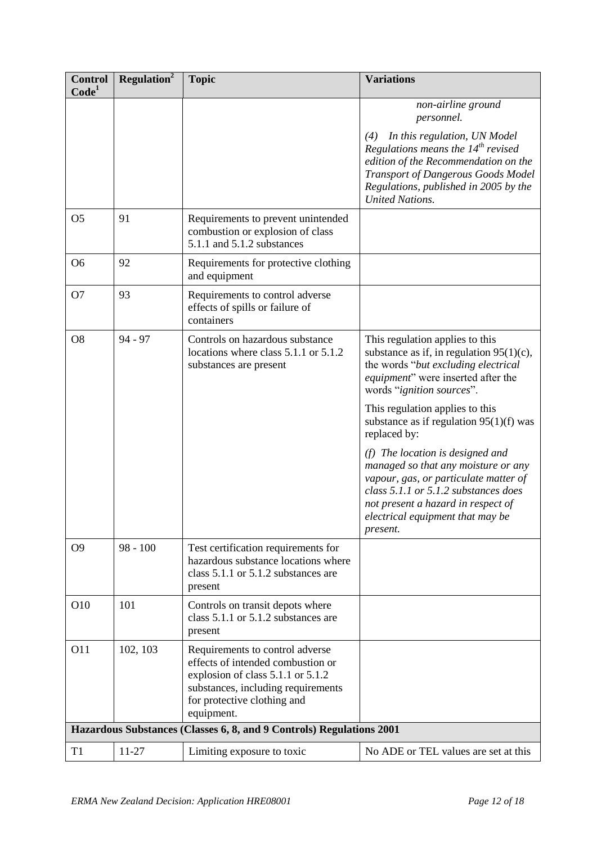| <b>Control</b><br>Code <sup>1</sup> | Regulation <sup>2</sup> | <b>Topic</b>                                                                                                                                                                                 | <b>Variations</b>                                                                                                                                                                                                                                                                                                                                                                                                                                                                                                                                             |
|-------------------------------------|-------------------------|----------------------------------------------------------------------------------------------------------------------------------------------------------------------------------------------|---------------------------------------------------------------------------------------------------------------------------------------------------------------------------------------------------------------------------------------------------------------------------------------------------------------------------------------------------------------------------------------------------------------------------------------------------------------------------------------------------------------------------------------------------------------|
|                                     |                         |                                                                                                                                                                                              | non-airline ground<br>personnel.<br>In this regulation, UN Model<br>(4)<br>Regulations means the $14^{th}$ revised<br>edition of the Recommendation on the<br>Transport of Dangerous Goods Model<br>Regulations, published in 2005 by the<br><b>United Nations.</b>                                                                                                                                                                                                                                                                                           |
| O <sub>5</sub>                      | 91                      | Requirements to prevent unintended<br>combustion or explosion of class<br>5.1.1 and 5.1.2 substances                                                                                         |                                                                                                                                                                                                                                                                                                                                                                                                                                                                                                                                                               |
| O <sub>6</sub>                      | 92                      | Requirements for protective clothing<br>and equipment                                                                                                                                        |                                                                                                                                                                                                                                                                                                                                                                                                                                                                                                                                                               |
| O <sub>7</sub>                      | 93                      | Requirements to control adverse<br>effects of spills or failure of<br>containers                                                                                                             |                                                                                                                                                                                                                                                                                                                                                                                                                                                                                                                                                               |
| O <sub>8</sub>                      | $94 - 97$               | Controls on hazardous substance<br>locations where class 5.1.1 or 5.1.2<br>substances are present                                                                                            | This regulation applies to this<br>substance as if, in regulation $95(1)(c)$ ,<br>the words "but excluding electrical<br><i>equipment</i> " were inserted after the<br>words " <i>ignition sources</i> ".<br>This regulation applies to this<br>substance as if regulation $95(1)(f)$ was<br>replaced by:<br>$(f)$ The location is designed and<br>managed so that any moisture or any<br>vapour, gas, or particulate matter of<br>class 5.1.1 or 5.1.2 substances does<br>not present a hazard in respect of<br>electrical equipment that may be<br>present. |
| O <sub>9</sub>                      | $98 - 100$              | Test certification requirements for<br>hazardous substance locations where<br>class 5.1.1 or 5.1.2 substances are<br>present                                                                 |                                                                                                                                                                                                                                                                                                                                                                                                                                                                                                                                                               |
| O10                                 | 101                     | Controls on transit depots where<br>class 5.1.1 or 5.1.2 substances are<br>present                                                                                                           |                                                                                                                                                                                                                                                                                                                                                                                                                                                                                                                                                               |
| <b>O11</b>                          | 102, 103                | Requirements to control adverse<br>effects of intended combustion or<br>explosion of class 5.1.1 or 5.1.2<br>substances, including requirements<br>for protective clothing and<br>equipment. |                                                                                                                                                                                                                                                                                                                                                                                                                                                                                                                                                               |
|                                     |                         | Hazardous Substances (Classes 6, 8, and 9 Controls) Regulations 2001                                                                                                                         |                                                                                                                                                                                                                                                                                                                                                                                                                                                                                                                                                               |
| T <sub>1</sub>                      | $11-27$                 | Limiting exposure to toxic                                                                                                                                                                   | No ADE or TEL values are set at this                                                                                                                                                                                                                                                                                                                                                                                                                                                                                                                          |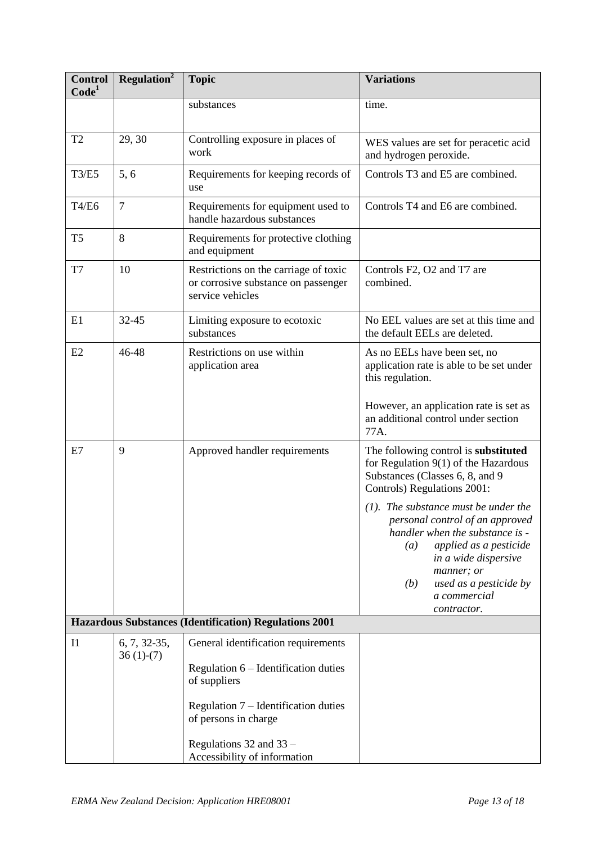| <b>Control</b><br>Code <sup>1</sup>                    | Regulation <sup>2</sup>     | <b>Topic</b>                                                                                     | <b>Variations</b>                                                                                                                                |  |
|--------------------------------------------------------|-----------------------------|--------------------------------------------------------------------------------------------------|--------------------------------------------------------------------------------------------------------------------------------------------------|--|
|                                                        |                             | substances                                                                                       | time.                                                                                                                                            |  |
| T <sub>2</sub>                                         | 29, 30                      | Controlling exposure in places of<br>work                                                        | WES values are set for peracetic acid<br>and hydrogen peroxide.                                                                                  |  |
| <b>T3/E5</b>                                           | 5, 6                        | Requirements for keeping records of<br>use                                                       | Controls T3 and E5 are combined.                                                                                                                 |  |
| T4/E6                                                  | $\overline{7}$              | Requirements for equipment used to<br>handle hazardous substances                                | Controls T4 and E6 are combined.                                                                                                                 |  |
| T <sub>5</sub>                                         | 8                           | Requirements for protective clothing<br>and equipment                                            |                                                                                                                                                  |  |
| T7                                                     | 10                          | Restrictions on the carriage of toxic<br>or corrosive substance on passenger<br>service vehicles | Controls F2, O2 and T7 are<br>combined.                                                                                                          |  |
| E1                                                     | $32 - 45$                   | Limiting exposure to ecotoxic<br>substances                                                      | No EEL values are set at this time and<br>the default EELs are deleted.                                                                          |  |
| E2                                                     | 46-48                       | Restrictions on use within<br>application area                                                   | As no EELs have been set, no<br>application rate is able to be set under<br>this regulation.                                                     |  |
|                                                        |                             |                                                                                                  | However, an application rate is set as<br>an additional control under section<br>77A.                                                            |  |
| E7                                                     | 9                           | Approved handler requirements                                                                    | The following control is substituted<br>for Regulation $9(1)$ of the Hazardous<br>Substances (Classes 6, 8, and 9<br>Controls) Regulations 2001: |  |
|                                                        |                             |                                                                                                  | $(1)$ . The substance must be under the<br>personal control of an approved<br>handler when the substance is -<br>applied as a pesticide<br>(a)   |  |
|                                                        |                             |                                                                                                  | in a wide dispersive<br>manner; or<br>used as a pesticide by<br>(b)<br>a commercial<br>contractor.                                               |  |
| Hazardous Substances (Identification) Regulations 2001 |                             |                                                                                                  |                                                                                                                                                  |  |
| I <sub>1</sub>                                         | 6, 7, 32-35,<br>$36(1)-(7)$ | General identification requirements                                                              |                                                                                                                                                  |  |
|                                                        |                             | Regulation 6 – Identification duties<br>of suppliers                                             |                                                                                                                                                  |  |
|                                                        |                             | Regulation $7$ – Identification duties<br>of persons in charge                                   |                                                                                                                                                  |  |
|                                                        |                             | Regulations 32 and 33 -<br>Accessibility of information                                          |                                                                                                                                                  |  |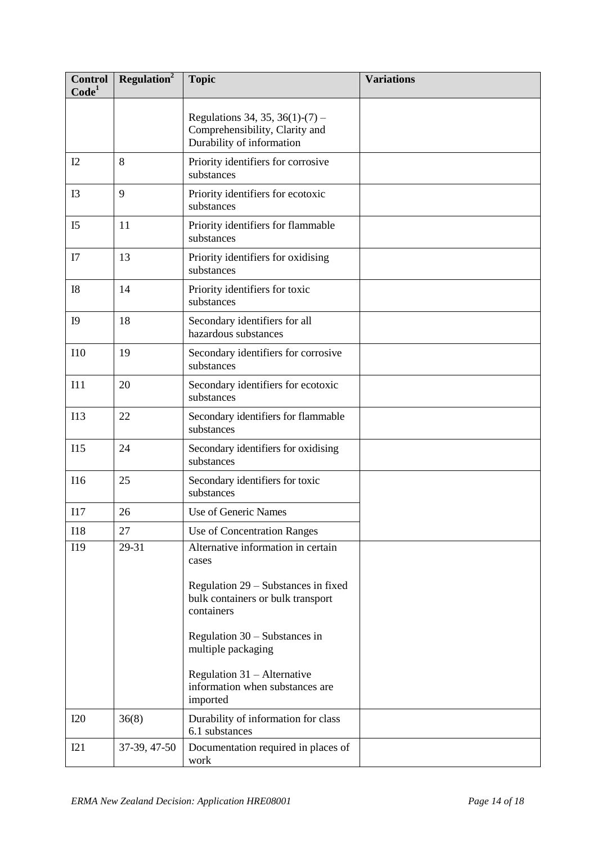| <b>Control</b><br>Code <sup>1</sup> | Regulation <sup>2</sup> | <b>Topic</b>                                                                                   | <b>Variations</b> |
|-------------------------------------|-------------------------|------------------------------------------------------------------------------------------------|-------------------|
|                                     |                         | Regulations 34, 35, 36(1)-(7) –<br>Comprehensibility, Clarity and<br>Durability of information |                   |
| I2                                  | 8                       | Priority identifiers for corrosive<br>substances                                               |                   |
| I <sub>3</sub>                      | 9                       | Priority identifiers for ecotoxic<br>substances                                                |                   |
| I <sub>5</sub>                      | 11                      | Priority identifiers for flammable<br>substances                                               |                   |
| I7                                  | 13                      | Priority identifiers for oxidising<br>substances                                               |                   |
| <b>I8</b>                           | 14                      | Priority identifiers for toxic<br>substances                                                   |                   |
| I <sub>9</sub>                      | 18                      | Secondary identifiers for all<br>hazardous substances                                          |                   |
| <b>I10</b>                          | 19                      | Secondary identifiers for corrosive<br>substances                                              |                   |
| I11                                 | 20                      | Secondary identifiers for ecotoxic<br>substances                                               |                   |
| I13                                 | 22                      | Secondary identifiers for flammable<br>substances                                              |                   |
| I15                                 | 24                      | Secondary identifiers for oxidising<br>substances                                              |                   |
| <b>I16</b>                          | 25                      | Secondary identifiers for toxic<br>substances                                                  |                   |
| I17                                 | 26                      | Use of Generic Names                                                                           |                   |
| <b>I18</b>                          | 27                      | Use of Concentration Ranges                                                                    |                   |
| I19                                 | 29-31                   | Alternative information in certain<br>cases                                                    |                   |
|                                     |                         | Regulation 29 – Substances in fixed<br>bulk containers or bulk transport<br>containers         |                   |
|                                     |                         | Regulation $30 -$ Substances in<br>multiple packaging                                          |                   |
|                                     |                         | Regulation 31 - Alternative<br>information when substances are<br>imported                     |                   |
| <b>I20</b>                          | 36(8)                   | Durability of information for class<br>6.1 substances                                          |                   |
| I21                                 | 37-39, 47-50            | Documentation required in places of<br>work                                                    |                   |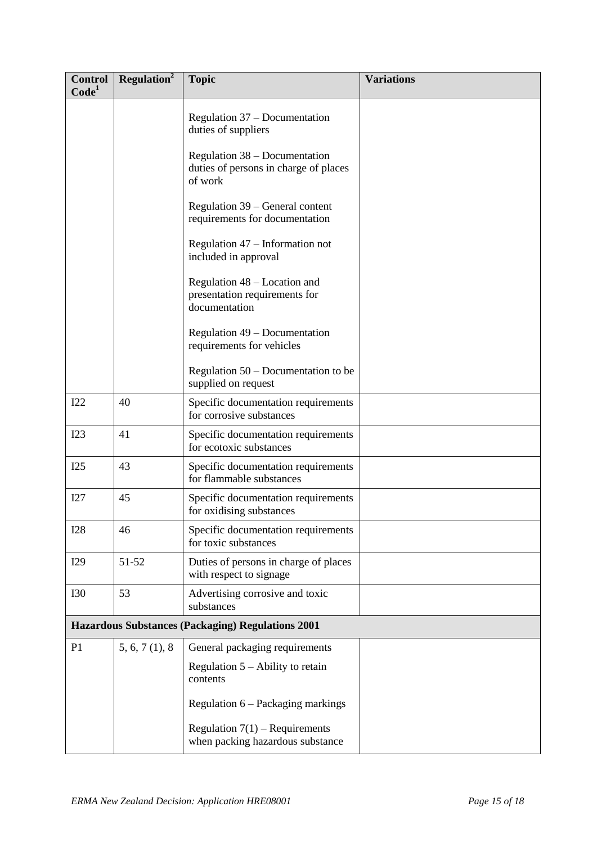| <b>Control</b><br>Code <sup>1</sup> | <b>Regulation</b> <sup>2</sup>                           | <b>Topic</b>                                                                      | <b>Variations</b> |  |  |
|-------------------------------------|----------------------------------------------------------|-----------------------------------------------------------------------------------|-------------------|--|--|
|                                     |                                                          | Regulation 37 – Documentation<br>duties of suppliers                              |                   |  |  |
|                                     |                                                          | Regulation 38 – Documentation<br>duties of persons in charge of places<br>of work |                   |  |  |
|                                     |                                                          | Regulation 39 – General content<br>requirements for documentation                 |                   |  |  |
|                                     |                                                          | Regulation 47 – Information not<br>included in approval                           |                   |  |  |
|                                     |                                                          | Regulation 48 – Location and<br>presentation requirements for<br>documentation    |                   |  |  |
|                                     |                                                          | Regulation 49 – Documentation<br>requirements for vehicles                        |                   |  |  |
|                                     |                                                          | Regulation $50 -$ Documentation to be<br>supplied on request                      |                   |  |  |
| I22                                 | 40                                                       | Specific documentation requirements<br>for corrosive substances                   |                   |  |  |
| I23                                 | 41                                                       | Specific documentation requirements<br>for ecotoxic substances                    |                   |  |  |
| I25                                 | 43                                                       | Specific documentation requirements<br>for flammable substances                   |                   |  |  |
| I27                                 | 45                                                       | Specific documentation requirements<br>for oxidising substances                   |                   |  |  |
| I28                                 | 46                                                       | Specific documentation requirements<br>for toxic substances                       |                   |  |  |
| I29                                 | 51-52                                                    | Duties of persons in charge of places<br>with respect to signage                  |                   |  |  |
| <b>I30</b>                          | 53                                                       | Advertising corrosive and toxic<br>substances                                     |                   |  |  |
|                                     | <b>Hazardous Substances (Packaging) Regulations 2001</b> |                                                                                   |                   |  |  |
| P <sub>1</sub>                      | 5, 6, 7(1), 8                                            | General packaging requirements                                                    |                   |  |  |
|                                     |                                                          | Regulation $5 -$ Ability to retain<br>contents                                    |                   |  |  |
|                                     |                                                          | Regulation 6 – Packaging markings                                                 |                   |  |  |
|                                     |                                                          | Regulation $7(1)$ – Requirements<br>when packing hazardous substance              |                   |  |  |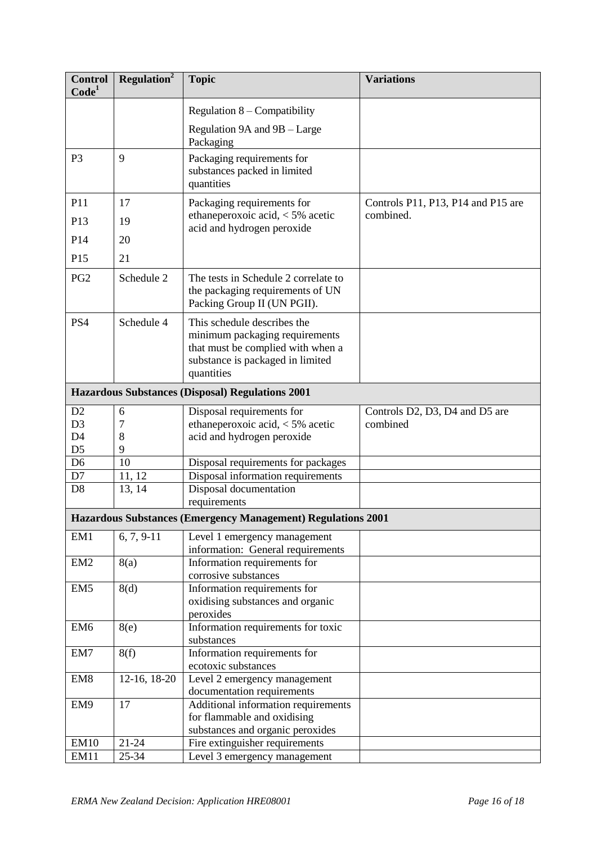| <b>Control</b><br>Code <sup>1</sup> | Regulation <sup>2</sup> | <b>Topic</b>                                                                                                                                         | <b>Variations</b>                  |
|-------------------------------------|-------------------------|------------------------------------------------------------------------------------------------------------------------------------------------------|------------------------------------|
|                                     |                         | Regulation $8$ – Compatibility                                                                                                                       |                                    |
|                                     |                         | Regulation 9A and 9B - Large<br>Packaging                                                                                                            |                                    |
| P <sub>3</sub>                      | 9                       | Packaging requirements for<br>substances packed in limited<br>quantities                                                                             |                                    |
| P11                                 | 17                      | Packaging requirements for                                                                                                                           | Controls P11, P13, P14 and P15 are |
| P <sub>13</sub>                     | 19                      | ethaneperoxoic acid, $<$ 5% acetic<br>acid and hydrogen peroxide                                                                                     | combined.                          |
| P14                                 | 20                      |                                                                                                                                                      |                                    |
| P15                                 | 21                      |                                                                                                                                                      |                                    |
| PG <sub>2</sub>                     | Schedule 2              | The tests in Schedule 2 correlate to<br>the packaging requirements of UN<br>Packing Group II (UN PGII).                                              |                                    |
| PS4                                 | Schedule 4              | This schedule describes the<br>minimum packaging requirements<br>that must be complied with when a<br>substance is packaged in limited<br>quantities |                                    |
|                                     |                         | <b>Hazardous Substances (Disposal) Regulations 2001</b>                                                                                              |                                    |
| D2                                  | 6                       | Disposal requirements for                                                                                                                            | Controls D2, D3, D4 and D5 are     |
| D <sub>3</sub><br>D <sub>4</sub>    | 7<br>8                  | ethaneperoxoic acid, $<$ 5% acetic<br>acid and hydrogen peroxide                                                                                     | combined                           |
| D <sub>5</sub>                      | 9                       |                                                                                                                                                      |                                    |
| D <sub>6</sub>                      | 10                      | Disposal requirements for packages                                                                                                                   |                                    |
| D7                                  | 11, 12                  | Disposal information requirements                                                                                                                    |                                    |
| D <sub>8</sub>                      | 13, 14                  | Disposal documentation<br>requirements                                                                                                               |                                    |
|                                     |                         | Hazardous Substances (Emergency Management) Regulations 2001                                                                                         |                                    |
| EM1                                 | $6, 7, 9-11$            | Level 1 emergency management<br>information: General requirements                                                                                    |                                    |
| EM <sub>2</sub>                     | 8(a)                    | Information requirements for<br>corrosive substances                                                                                                 |                                    |
| EM <sub>5</sub>                     | 8(d)                    | Information requirements for<br>oxidising substances and organic<br>peroxides                                                                        |                                    |
| EM <sub>6</sub>                     | 8(e)                    | Information requirements for toxic<br>substances                                                                                                     |                                    |
| EM7                                 | 8(f)                    | Information requirements for<br>ecotoxic substances                                                                                                  |                                    |
| EM <sub>8</sub>                     | 12-16, 18-20            | Level 2 emergency management<br>documentation requirements                                                                                           |                                    |
| EM9                                 | 17                      | Additional information requirements                                                                                                                  |                                    |
|                                     |                         | for flammable and oxidising<br>substances and organic peroxides                                                                                      |                                    |
| <b>EM10</b>                         | $21 - 24$               | Fire extinguisher requirements                                                                                                                       |                                    |
| <b>EM11</b>                         | 25-34                   | Level 3 emergency management                                                                                                                         |                                    |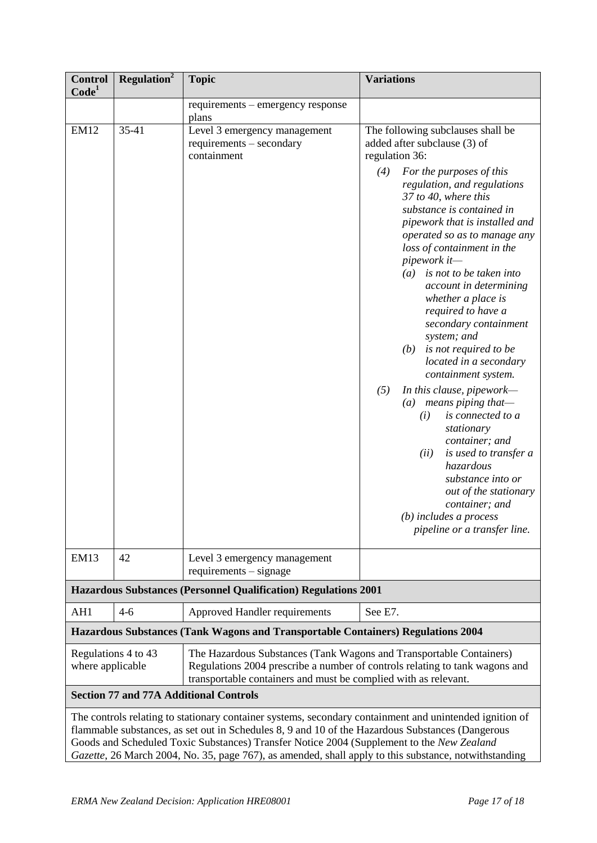| <b>Control</b><br>Code <sup>1</sup>                                                                                                                                                                                                                                                                      | Regulation <sup>2</sup> | <b>Topic</b>                                                                                                                           | <b>Variations</b>                                                                                                                                                                                                                                                                                                                                                                                                                                                                                                                                                                                                                                                                                                                                                                                                                                                                 |
|----------------------------------------------------------------------------------------------------------------------------------------------------------------------------------------------------------------------------------------------------------------------------------------------------------|-------------------------|----------------------------------------------------------------------------------------------------------------------------------------|-----------------------------------------------------------------------------------------------------------------------------------------------------------------------------------------------------------------------------------------------------------------------------------------------------------------------------------------------------------------------------------------------------------------------------------------------------------------------------------------------------------------------------------------------------------------------------------------------------------------------------------------------------------------------------------------------------------------------------------------------------------------------------------------------------------------------------------------------------------------------------------|
|                                                                                                                                                                                                                                                                                                          |                         | requirements – emergency response<br>plans                                                                                             |                                                                                                                                                                                                                                                                                                                                                                                                                                                                                                                                                                                                                                                                                                                                                                                                                                                                                   |
| <b>EM12</b>                                                                                                                                                                                                                                                                                              | 35-41                   | Level 3 emergency management<br>requirements - secondary<br>containment                                                                | The following subclauses shall be<br>added after subclause (3) of<br>regulation 36:<br>(4)<br>For the purposes of this<br>regulation, and regulations<br>37 to 40, where this<br>substance is contained in<br>pipework that is installed and<br>operated so as to manage any<br>loss of containment in the<br>pipework it-<br>is not to be taken into<br>(a)<br>account in determining<br>whether a place is<br>required to have a<br>secondary containment<br>system; and<br>is not required to be<br>(b)<br>located in a secondary<br>containment system.<br>(5)<br>In this clause, pipework-<br>$means$ piping that-<br>$\left(a\right)$<br>is connected to a<br>(i)<br>stationary<br>container; and<br>(ii)<br>is used to transfer a<br>hazardous<br>substance into or<br>out of the stationary<br>container; and<br>$(b)$ includes a process<br>pipeline or a transfer line. |
| <b>EM13</b>                                                                                                                                                                                                                                                                                              | 42                      | Level 3 emergency management<br>$requirements - signature$                                                                             |                                                                                                                                                                                                                                                                                                                                                                                                                                                                                                                                                                                                                                                                                                                                                                                                                                                                                   |
|                                                                                                                                                                                                                                                                                                          |                         | <b>Hazardous Substances (Personnel Qualification) Regulations 2001</b>                                                                 |                                                                                                                                                                                                                                                                                                                                                                                                                                                                                                                                                                                                                                                                                                                                                                                                                                                                                   |
| AH1                                                                                                                                                                                                                                                                                                      | $4 - 6$                 | Approved Handler requirements                                                                                                          | See E7.                                                                                                                                                                                                                                                                                                                                                                                                                                                                                                                                                                                                                                                                                                                                                                                                                                                                           |
|                                                                                                                                                                                                                                                                                                          |                         | Hazardous Substances (Tank Wagons and Transportable Containers) Regulations 2004                                                       |                                                                                                                                                                                                                                                                                                                                                                                                                                                                                                                                                                                                                                                                                                                                                                                                                                                                                   |
| where applicable                                                                                                                                                                                                                                                                                         | Regulations 4 to 43     | The Hazardous Substances (Tank Wagons and Transportable Containers)<br>transportable containers and must be complied with as relevant. | Regulations 2004 prescribe a number of controls relating to tank wagons and                                                                                                                                                                                                                                                                                                                                                                                                                                                                                                                                                                                                                                                                                                                                                                                                       |
|                                                                                                                                                                                                                                                                                                          |                         | <b>Section 77 and 77A Additional Controls</b>                                                                                          |                                                                                                                                                                                                                                                                                                                                                                                                                                                                                                                                                                                                                                                                                                                                                                                                                                                                                   |
| The controls relating to stationary container systems, secondary containment and unintended ignition of<br>flammable substances, as set out in Schedules 8, 9 and 10 of the Hazardous Substances (Dangerous<br>Goods and Scheduled Toxic Substances) Transfer Notice 2004 (Supplement to the New Zealand |                         |                                                                                                                                        |                                                                                                                                                                                                                                                                                                                                                                                                                                                                                                                                                                                                                                                                                                                                                                                                                                                                                   |

*Gazette*, 26 March 2004, No. 35, page 767), as amended, shall apply to this substance, notwithstanding